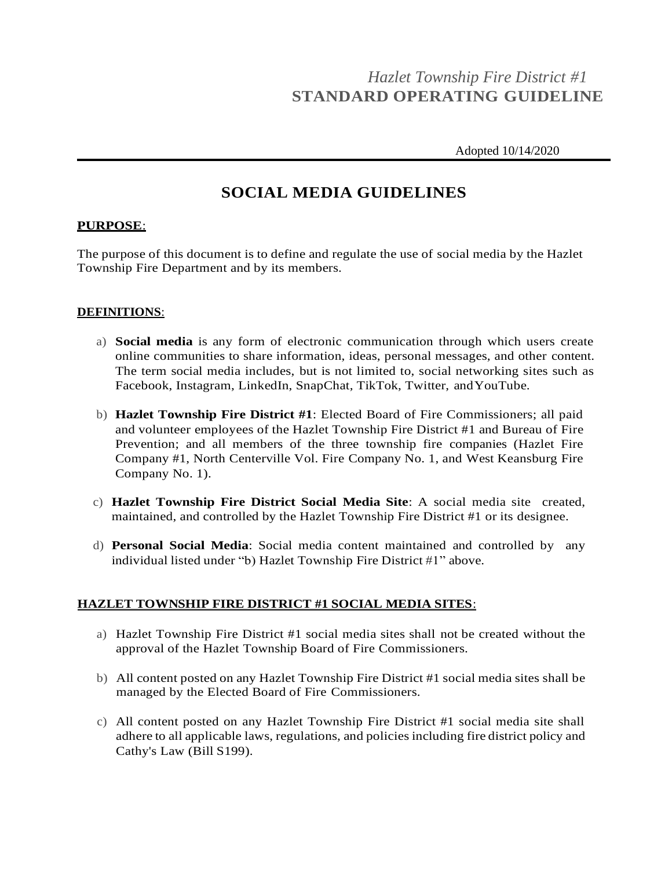# *Hazlet Township Fire District #1* **STANDARD OPERATING GUIDELINE**

Adopted 10/14/2020

## **SOCIAL MEDIA GUIDELINES**

#### **PURPOSE**:

The purpose of this document is to define and regulate the use of social media by the Hazlet Township Fire Department and by its members.

#### **DEFINITIONS**:

- a) **Social media** is any form of electronic communication through which users create online communities to share information, ideas, personal messages, and other content. The term social media includes, but is not limited to, social networking sites such as Facebook, Instagram, LinkedIn, SnapChat, TikTok, Twitter, andYouTube.
- b) **Hazlet Township Fire District #1**: Elected Board of Fire Commissioners; all paid and volunteer employees of the Hazlet Township Fire District #1 and Bureau of Fire Prevention; and all members of the three township fire companies (Hazlet Fire Company #1, North Centerville Vol. Fire Company No. 1, and West Keansburg Fire Company No. 1).
- c) **Hazlet Township Fire District Social Media Site**: A social media site created, maintained, and controlled by the Hazlet Township Fire District #1 or its designee.
- d) **Personal Social Media**: Social media content maintained and controlled by any individual listed under "b) Hazlet Township Fire District #1" above.

### **HAZLET TOWNSHIP FIRE DISTRICT #1 SOCIAL MEDIA SITES**:

- a) Hazlet Township Fire District #1 social media sites shall not be created without the approval of the Hazlet Township Board of Fire Commissioners.
- b) All content posted on any Hazlet Township Fire District #1 social media sites shall be managed by the Elected Board of Fire Commissioners.
- c) All content posted on any Hazlet Township Fire District #1 social media site shall adhere to all applicable laws, regulations, and policies including fire district policy and Cathy's Law (Bill S199).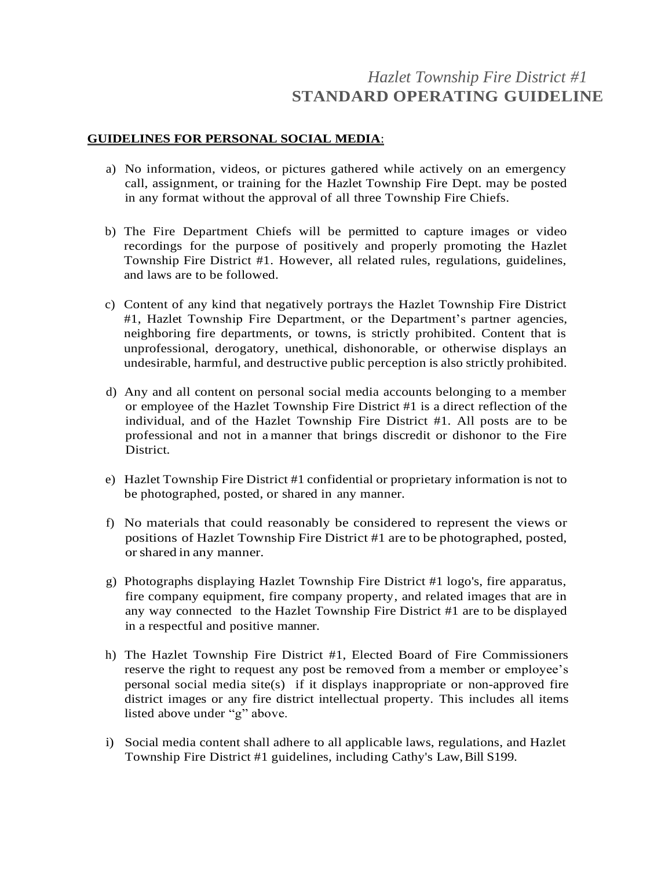## *Hazlet Township Fire District #1* **STANDARD OPERATING GUIDELINE**

### **GUIDELINES FOR PERSONAL SOCIAL MEDIA**:

- a) No information, videos, or pictures gathered while actively on an emergency call, assignment, or training for the Hazlet Township Fire Dept. may be posted in any format without the approval of all three Township Fire Chiefs.
- b) The Fire Department Chiefs will be permitted to capture images or video recordings for the purpose of positively and properly promoting the Hazlet Township Fire District #1. However, all related rules, regulations, guidelines, and laws are to be followed.
- c) Content of any kind that negatively portrays the Hazlet Township Fire District #1, Hazlet Township Fire Department, or the Department's partner agencies, neighboring fire departments, or towns, is strictly prohibited. Content that is unprofessional, derogatory, unethical, dishonorable, or otherwise displays an undesirable, harmful, and destructive public perception is also strictly prohibited.
- d) Any and all content on personal social media accounts belonging to a member or employee of the Hazlet Township Fire District #1 is a direct reflection of the individual, and of the Hazlet Township Fire District #1. All posts are to be professional and not in a manner that brings discredit or dishonor to the Fire District.
- e) Hazlet Township Fire District #1 confidential or proprietary information is not to be photographed, posted, or shared in any manner.
- f) No materials that could reasonably be considered to represent the views or positions of Hazlet Township Fire District #1 are to be photographed, posted, orshared in any manner.
- g) Photographs displaying Hazlet Township Fire District #1 logo's, fire apparatus, fire company equipment, fire company property, and related images that are in any way connected to the Hazlet Township Fire District #1 are to be displayed in a respectful and positive manner.
- h) The Hazlet Township Fire District #1, Elected Board of Fire Commissioners reserve the right to request any post be removed from a member or employee's personal social media site(s) if it displays inappropriate or non-approved fire district images or any fire district intellectual property. This includes all items listed above under "g" above.
- i) Social media content shall adhere to all applicable laws, regulations, and Hazlet Township Fire District #1 guidelines, including Cathy's Law, Bill S199.